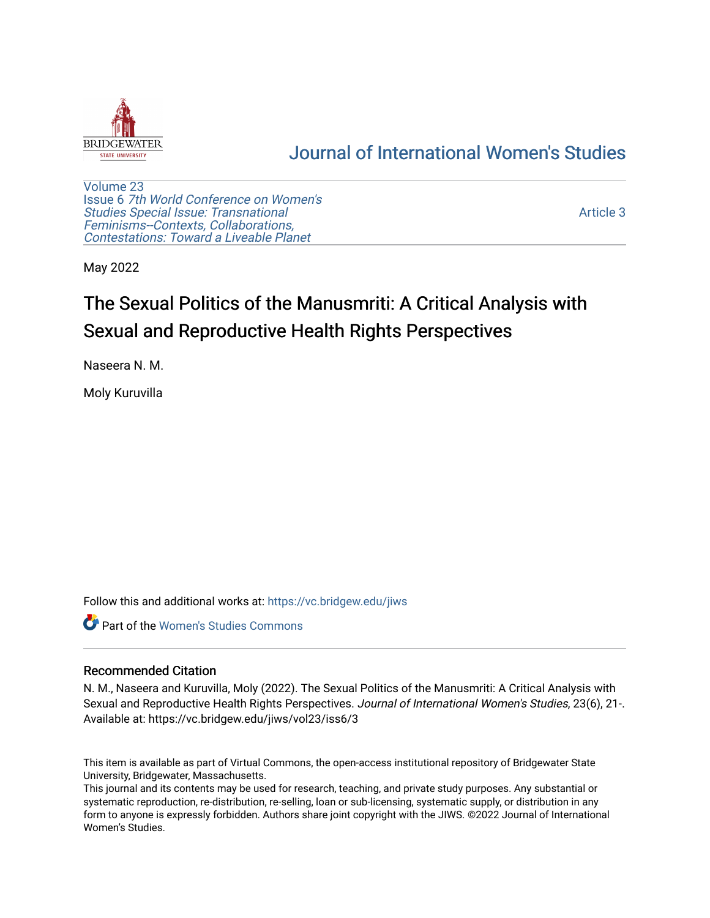

## [Journal of International Women's Studies](https://vc.bridgew.edu/jiws)

[Volume 23](https://vc.bridgew.edu/jiws/vol23) Issue 6 [7th World Conference on Women's](https://vc.bridgew.edu/jiws/vol23/iss6)  [Studies Special Issue: Transnational](https://vc.bridgew.edu/jiws/vol23/iss6)  [Feminisms--Contexts, Collaborations,](https://vc.bridgew.edu/jiws/vol23/iss6)  [Contestations: Toward a Liveable Planet](https://vc.bridgew.edu/jiws/vol23/iss6) 

[Article 3](https://vc.bridgew.edu/jiws/vol23/iss6/3) 

May 2022

# The Sexual Politics of the Manusmriti: A Critical Analysis with Sexual and Reproductive Health Rights Perspectives

Naseera N. M.

Moly Kuruvilla

Follow this and additional works at: [https://vc.bridgew.edu/jiws](https://vc.bridgew.edu/jiws?utm_source=vc.bridgew.edu%2Fjiws%2Fvol23%2Fiss6%2F3&utm_medium=PDF&utm_campaign=PDFCoverPages)

Part of the [Women's Studies Commons](http://network.bepress.com/hgg/discipline/561?utm_source=vc.bridgew.edu%2Fjiws%2Fvol23%2Fiss6%2F3&utm_medium=PDF&utm_campaign=PDFCoverPages) 

#### Recommended Citation

N. M., Naseera and Kuruvilla, Moly (2022). The Sexual Politics of the Manusmriti: A Critical Analysis with Sexual and Reproductive Health Rights Perspectives. Journal of International Women's Studies, 23(6), 21-. Available at: https://vc.bridgew.edu/jiws/vol23/iss6/3

This item is available as part of Virtual Commons, the open-access institutional repository of Bridgewater State University, Bridgewater, Massachusetts.

This journal and its contents may be used for research, teaching, and private study purposes. Any substantial or systematic reproduction, re-distribution, re-selling, loan or sub-licensing, systematic supply, or distribution in any form to anyone is expressly forbidden. Authors share joint copyright with the JIWS. ©2022 Journal of International Women's Studies.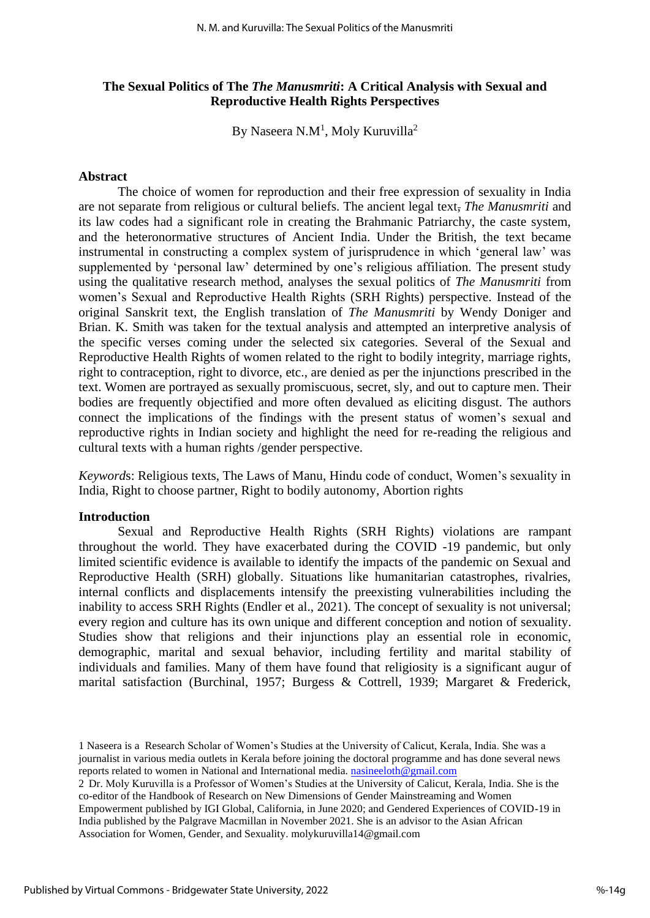## **The Sexual Politics of The** *The Manusmriti***: A Critical Analysis with Sexual and Reproductive Health Rights Perspectives**

By Naseera N.M<sup>1</sup>, Moly Kuruvilla<sup>2</sup>

#### **Abstract**

The choice of women for reproduction and their free expression of sexuality in India are not separate from religious or cultural beliefs. The ancient legal text, *The Manusmriti* and its law codes had a significant role in creating the Brahmanic Patriarchy, the caste system, and the heteronormative structures of Ancient India. Under the British, the text became instrumental in constructing a complex system of jurisprudence in which 'general law' was supplemented by 'personal law' determined by one's religious affiliation. The present study using the qualitative research method, analyses the sexual politics of *The Manusmriti* from women's Sexual and Reproductive Health Rights (SRH Rights) perspective. Instead of the original Sanskrit text, the English translation of *The Manusmriti* by Wendy Doniger and Brian. K. Smith was taken for the textual analysis and attempted an interpretive analysis of the specific verses coming under the selected six categories. Several of the Sexual and Reproductive Health Rights of women related to the right to bodily integrity, marriage rights, right to contraception, right to divorce, etc., are denied as per the injunctions prescribed in the text. Women are portrayed as sexually promiscuous, secret, sly, and out to capture men. Their bodies are frequently objectified and more often devalued as eliciting disgust. The authors connect the implications of the findings with the present status of women's sexual and reproductive rights in Indian society and highlight the need for re-reading the religious and cultural texts with a human rights /gender perspective.

*Keyword*s: Religious texts, The Laws of Manu, Hindu code of conduct, Women's sexuality in India, Right to choose partner, Right to bodily autonomy, Abortion rights

#### **Introduction**

Sexual and Reproductive Health Rights (SRH Rights) violations are rampant throughout the world. They have exacerbated during the COVID -19 pandemic, but only limited scientific evidence is available to identify the impacts of the pandemic on Sexual and Reproductive Health (SRH) globally. Situations like humanitarian catastrophes, rivalries, internal conflicts and displacements intensify the preexisting vulnerabilities including the inability to access SRH Rights (Endler et al., 2021). The concept of sexuality is not universal; every region and culture has its own unique and different conception and notion of sexuality. Studies show that religions and their injunctions play an essential role in economic, demographic, marital and sexual behavior, including fertility and marital stability of individuals and families. Many of them have found that religiosity is a significant augur of marital satisfaction (Burchinal, 1957; Burgess & Cottrell, 1939; Margaret & Frederick,

<sup>1</sup> Naseera is a Research Scholar of Women's Studies at the University of Calicut, Kerala, India. She was a journalist in various media outlets in Kerala before joining the doctoral programme and has done several news reports related to women in National and International media. [nasineeloth@gmail.com](mailto:nasineeloth@gmail.com)

<sup>2</sup> Dr. Moly Kuruvilla is a Professor of Women's Studies at the University of Calicut, Kerala, India. She is the co-editor of the Handbook of Research on New Dimensions of Gender Mainstreaming and Women Empowerment published by IGI Global, California, in June 2020; and Gendered Experiences of COVID-19 in India published by the Palgrave Macmillan in November 2021. She is an advisor to the Asian African Association for Women, Gender, and Sexuality. molykuruvilla14@gmail.com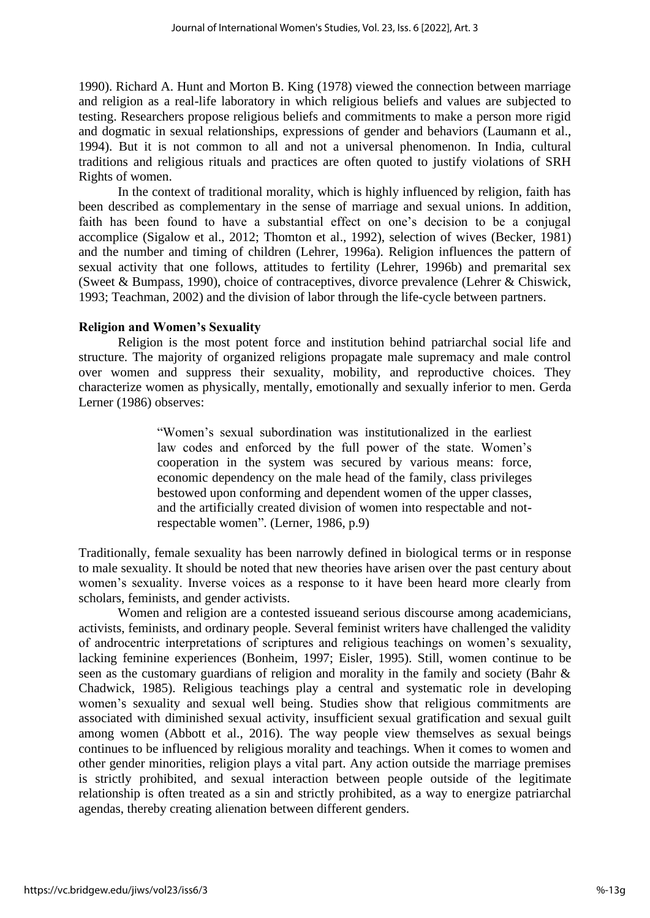1990). Richard A. Hunt and Morton B. King (1978) viewed the connection between marriage and religion as a real-life laboratory in which religious beliefs and values are subjected to testing. Researchers propose religious beliefs and commitments to make a person more rigid and dogmatic in sexual relationships, expressions of gender and behaviors (Laumann et al., 1994). But it is not common to all and not a universal phenomenon. In India, cultural traditions and religious rituals and practices are often quoted to justify violations of SRH Rights of women.

In the context of traditional morality, which is highly influenced by religion, faith has been described as complementary in the sense of marriage and sexual unions. In addition, faith has been found to have a substantial effect on one's decision to be a conjugal accomplice (Sigalow et al., 2012; Thomton et al., 1992), selection of wives (Becker, 1981) and the number and timing of children (Lehrer, 1996a). Religion influences the pattern of sexual activity that one follows, attitudes to fertility (Lehrer, 1996b) and premarital sex (Sweet & Bumpass, 1990), choice of contraceptives, divorce prevalence (Lehrer & Chiswick, 1993; Teachman, 2002) and the division of labor through the life-cycle between partners.

## **Religion and Women's Sexuality**

Religion is the most potent force and institution behind patriarchal social life and structure. The majority of organized religions propagate male supremacy and male control over women and suppress their sexuality, mobility, and reproductive choices. They characterize women as physically, mentally, emotionally and sexually inferior to men. Gerda Lerner (1986) observes:

> "Women's sexual subordination was institutionalized in the earliest law codes and enforced by the full power of the state. Women's cooperation in the system was secured by various means: force, economic dependency on the male head of the family, class privileges bestowed upon conforming and dependent women of the upper classes, and the artificially created division of women into respectable and notrespectable women". (Lerner, 1986, p.9)

Traditionally, female sexuality has been narrowly defined in biological terms or in response to male sexuality. It should be noted that new theories have arisen over the past century about women's sexuality. Inverse voices as a response to it have been heard more clearly from scholars, feminists, and gender activists.

Women and religion are a contested issueand serious discourse among academicians, activists, feminists, and ordinary people. Several feminist writers have challenged the validity of androcentric interpretations of scriptures and religious teachings on women's sexuality, lacking feminine experiences (Bonheim, 1997; Eisler, 1995). Still, women continue to be seen as the customary guardians of religion and morality in the family and society (Bahr & Chadwick, 1985). Religious teachings play a central and systematic role in developing women's sexuality and sexual well being. Studies show that religious commitments are associated with diminished sexual activity, insufficient sexual gratification and sexual guilt among women (Abbott et al., 2016). The way people view themselves as sexual beings continues to be influenced by religious morality and teachings. When it comes to women and other gender minorities, religion plays a vital part. Any action outside the marriage premises is strictly prohibited, and sexual interaction between people outside of the legitimate relationship is often treated as a sin and strictly prohibited, as a way to energize patriarchal agendas, thereby creating alienation between different genders.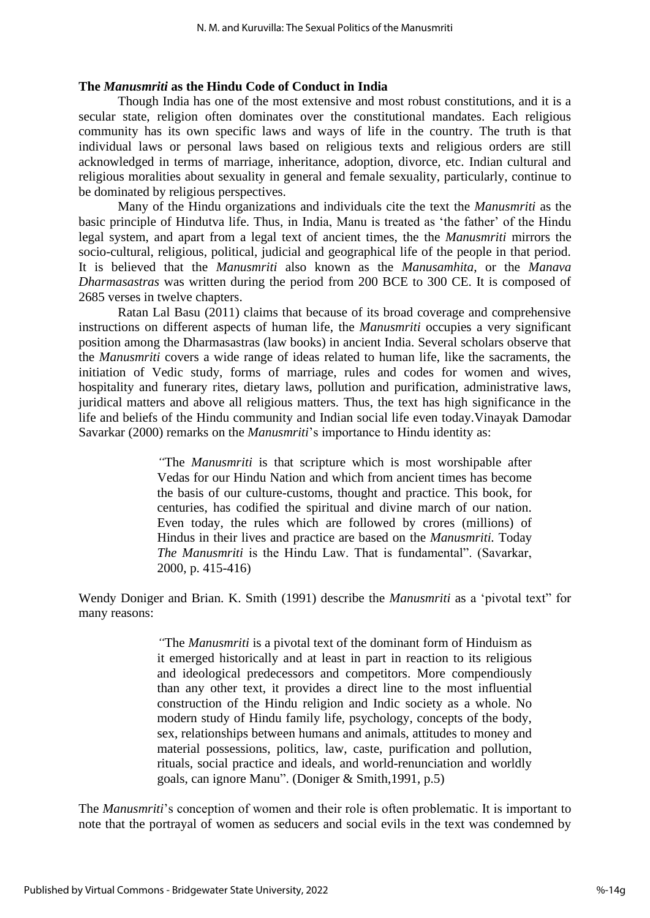## **The** *Manusmriti* **as the Hindu Code of Conduct in India**

Though India has one of the most extensive and most robust constitutions, and it is a secular state, religion often dominates over the constitutional mandates. Each religious community has its own specific laws and ways of life in the country. The truth is that individual laws or personal laws based on religious texts and religious orders are still acknowledged in terms of marriage, inheritance, adoption, divorce, etc. Indian cultural and religious moralities about sexuality in general and female sexuality, particularly, continue to be dominated by religious perspectives.

 Many of the Hindu organizations and individuals cite the text the *Manusmriti* as the basic principle of Hindutva life. Thus, in India, Manu is treated as 'the father' of the Hindu legal system, and apart from a legal text of ancient times, the the *Manusmriti* mirrors the socio-cultural, religious, political, judicial and geographical life of the people in that period. It is believed that the *Manusmriti* also known as the *Manusamhita*, or the *Manava Dharmasastras* was written during the period from 200 BCE to 300 CE. It is composed of 2685 verses in twelve chapters.

Ratan Lal Basu (2011) claims that because of its broad coverage and comprehensive instructions on different aspects of human life, the *Manusmriti* occupies a very significant position among the Dharmasastras (law books) in ancient India. Several scholars observe that the *Manusmriti* covers a wide range of ideas related to human life, like the sacraments, the initiation of Vedic study, forms of marriage, rules and codes for women and wives, hospitality and funerary rites, dietary laws, pollution and purification, administrative laws, juridical matters and above all religious matters. Thus, the text has high significance in the life and beliefs of the Hindu community and Indian social life even today.Vinayak Damodar Savarkar (2000) remarks on the *Manusmriti*'s importance to Hindu identity as:

> *"*The *Manusmriti* is that scripture which is most worshipable after Vedas for our Hindu Nation and which from ancient times has become the basis of our culture-customs, thought and practice. This book, for centuries, has codified the spiritual and divine march of our nation. Even today, the rules which are followed by crores (millions) of Hindus in their lives and practice are based on the *Manusmriti.* Today *The Manusmriti* is the Hindu Law. That is fundamental". (Savarkar, 2000, p. 415-416)

Wendy Doniger and Brian. K. Smith (1991) describe the *Manusmriti* as a 'pivotal text" for many reasons:

> *"*The *Manusmriti* is a pivotal text of the dominant form of Hinduism as it emerged historically and at least in part in reaction to its religious and ideological predecessors and competitors. More compendiously than any other text, it provides a direct line to the most influential construction of the Hindu religion and Indic society as a whole. No modern study of Hindu family life, psychology, concepts of the body, sex, relationships between humans and animals, attitudes to money and material possessions, politics, law, caste, purification and pollution, rituals, social practice and ideals, and world-renunciation and worldly goals, can ignore Manu". (Doniger & Smith,1991, p.5)

The *Manusmriti*'s conception of women and their role is often problematic. It is important to note that the portrayal of women as seducers and social evils in the text was condemned by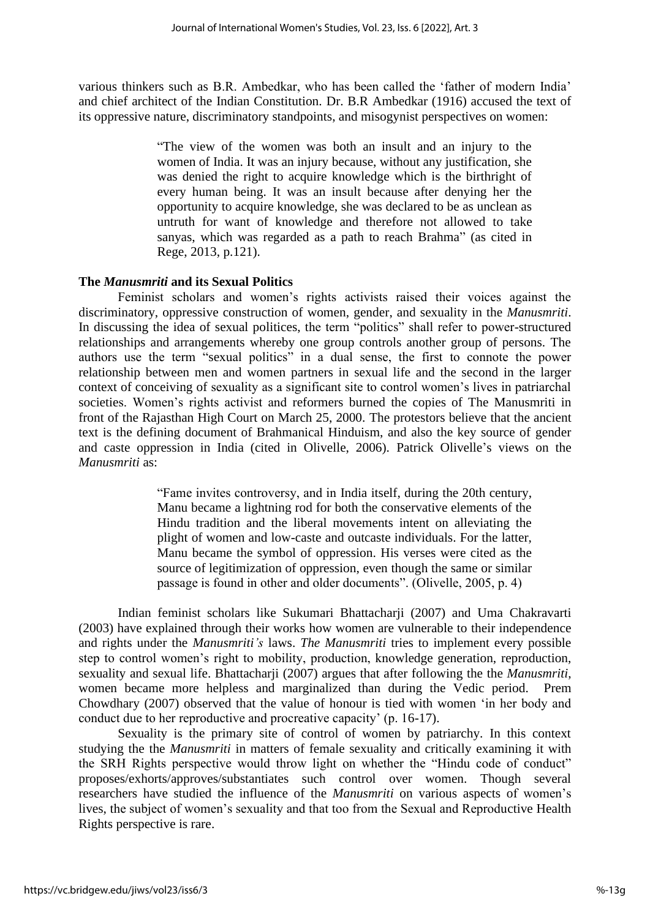various thinkers such as B.R. Ambedkar, who has been called the 'father of modern India' and chief architect of the Indian Constitution. Dr. B.R Ambedkar (1916) accused the text of its oppressive nature, discriminatory standpoints, and misogynist perspectives on women:

> "The view of the women was both an insult and an injury to the women of India. It was an injury because, without any justification, she was denied the right to acquire knowledge which is the birthright of every human being. It was an insult because after denying her the opportunity to acquire knowledge, she was declared to be as unclean as untruth for want of knowledge and therefore not allowed to take sanyas, which was regarded as a path to reach Brahma" (as cited in Rege, 2013, p.121).

## **The** *Manusmriti* **and its Sexual Politics**

Feminist scholars and women's rights activists raised their voices against the discriminatory, oppressive construction of women, gender, and sexuality in the *Manusmriti*. In discussing the idea of sexual politices, the term "politics" shall refer to power-structured relationships and arrangements whereby one group controls another group of persons. The authors use the term "sexual politics" in a dual sense, the first to connote the power relationship between men and women partners in sexual life and the second in the larger context of conceiving of sexuality as a significant site to control women's lives in patriarchal societies. Women's rights activist and reformers burned the copies of The Manusmriti in front of the Rajasthan High Court on March 25, 2000. The protestors believe that the ancient text is the defining document of Brahmanical Hinduism, and also the key source of gender and caste oppression in India (cited in Olivelle, 2006). Patrick Olivelle's views on the *Manusmriti* as:

> "Fame invites controversy, and in India itself, during the 20th century, Manu became a lightning rod for both the conservative elements of the Hindu tradition and the liberal movements intent on alleviating the plight of women and low-caste and outcaste individuals. For the latter, Manu became the symbol of oppression. His verses were cited as the source of legitimization of oppression, even though the same or similar passage is found in other and older documents". (Olivelle, 2005, p. 4)

Indian feminist scholars like Sukumari Bhattacharji (2007) and Uma Chakravarti (2003) have explained through their works how women are vulnerable to their independence and rights under the *Manusmriti's* laws. *The Manusmriti* tries to implement every possible step to control women's right to mobility, production, knowledge generation, reproduction, sexuality and sexual life. Bhattacharji (2007) argues that after following the the *Manusmriti*, women became more helpless and marginalized than during the Vedic period. Prem Chowdhary (2007) observed that the value of honour is tied with women 'in her body and conduct due to her reproductive and procreative capacity' (p. 16-17).

Sexuality is the primary site of control of women by patriarchy. In this context studying the the *Manusmriti* in matters of female sexuality and critically examining it with the SRH Rights perspective would throw light on whether the "Hindu code of conduct" proposes/exhorts/approves/substantiates such control over women. Though several researchers have studied the influence of the *Manusmriti* on various aspects of women's lives, the subject of women's sexuality and that too from the Sexual and Reproductive Health Rights perspective is rare.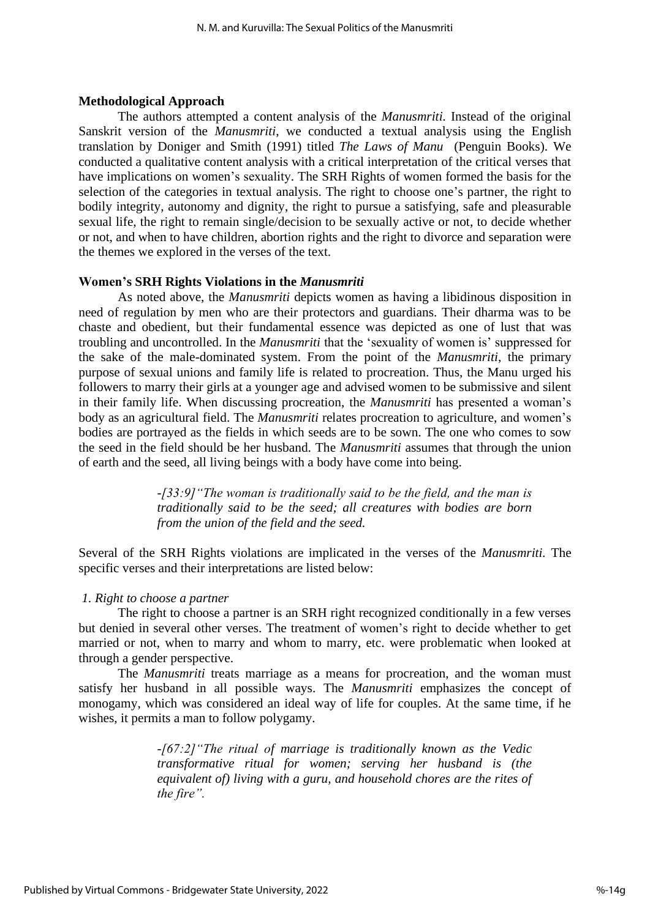#### **Methodological Approach**

The authors attempted a content analysis of the *Manusmriti.* Instead of the original Sanskrit version of the *Manusmriti*, we conducted a textual analysis using the English translation by Doniger and Smith (1991) titled *The Laws of Manu* (Penguin Books). We conducted a qualitative content analysis with a critical interpretation of the critical verses that have implications on women's sexuality. The SRH Rights of women formed the basis for the selection of the categories in textual analysis. The right to choose one's partner, the right to bodily integrity, autonomy and dignity, the right to pursue a satisfying, safe and pleasurable sexual life, the right to remain single/decision to be sexually active or not, to decide whether or not, and when to have children, abortion rights and the right to divorce and separation were the themes we explored in the verses of the text.

#### **Women's SRH Rights Violations in the** *Manusmriti*

As noted above, the *Manusmriti* depicts women as having a libidinous disposition in need of regulation by men who are their protectors and guardians. Their dharma was to be chaste and obedient, but their fundamental essence was depicted as one of lust that was troubling and uncontrolled. In the *Manusmriti* that the 'sexuality of women is' suppressed for the sake of the male-dominated system. From the point of the *Manusmriti*, the primary purpose of sexual unions and family life is related to procreation. Thus, the Manu urged his followers to marry their girls at a younger age and advised women to be submissive and silent in their family life. When discussing procreation, the *Manusmriti* has presented a woman's body as an agricultural field. The *Manusmriti* relates procreation to agriculture, and women's bodies are portrayed as the fields in which seeds are to be sown. The one who comes to sow the seed in the field should be her husband. The *Manusmriti* assumes that through the union of earth and the seed, all living beings with a body have come into being.

> *-[33:9]"The woman is traditionally said to be the field, and the man is traditionally said to be the seed; all creatures with bodies are born from the union of the field and the seed.*

Several of the SRH Rights violations are implicated in the verses of the *Manusmriti.* The specific verses and their interpretations are listed below:

#### *1. Right to choose a partner*

The right to choose a partner is an SRH right recognized conditionally in a few verses but denied in several other verses. The treatment of women's right to decide whether to get married or not, when to marry and whom to marry, etc. were problematic when looked at through a gender perspective.

The *Manusmriti* treats marriage as a means for procreation, and the woman must satisfy her husband in all possible ways. The *Manusmriti* emphasizes the concept of monogamy, which was considered an ideal way of life for couples. At the same time, if he wishes, it permits a man to follow polygamy.

> *-[67:2]"The ritual of marriage is traditionally known as the Vedic transformative ritual for women; serving her husband is (the equivalent of) living with a guru, and household chores are the rites of the fire".*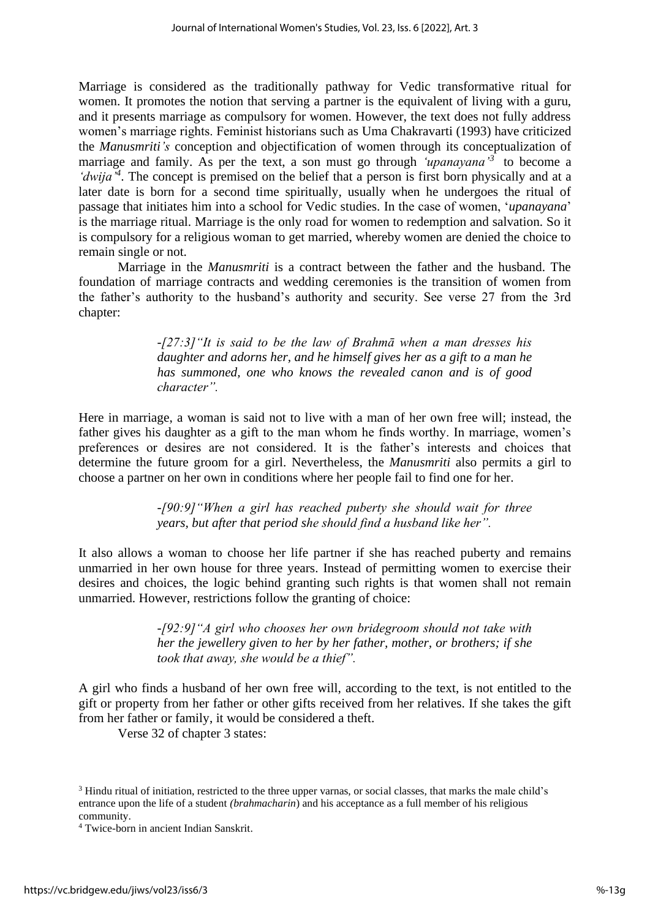Marriage is considered as the traditionally pathway for Vedic transformative ritual for women. It promotes the notion that serving a partner is the equivalent of living with a guru, and it presents marriage as compulsory for women. However, the text does not fully address women's marriage rights. Feminist historians such as Uma Chakravarti (1993) have criticized the *Manusmriti's* conception and objectification of women through its conceptualization of marriage and family. As per the text, a son must go through *'upanayana'<sup>3</sup>* to become a '*dwija*<sup>4</sup>. The concept is premised on the belief that a person is first born physically and at a later date is born for a second time spiritually, usually when he undergoes the ritual of passage that initiates him into a school for Vedic studies. In the case of women, '*upanayana*' is the marriage ritual. Marriage is the only road for women to redemption and salvation. So it is compulsory for a religious woman to get married, whereby women are denied the choice to remain single or not.

Marriage in the *Manusmriti* is a contract between the father and the husband. The foundation of marriage contracts and wedding ceremonies is the transition of women from the father's authority to the husband's authority and security. See verse 27 from the 3rd chapter:

> *-[27:3]"It is said to be the law of Brahmā when a man dresses his daughter and adorns her, and he himself gives her as a gift to a man he has summoned, one who knows the revealed canon and is of good character".*

Here in marriage, a woman is said not to live with a man of her own free will; instead, the father gives his daughter as a gift to the man whom he finds worthy. In marriage, women's preferences or desires are not considered. It is the father's interests and choices that determine the future groom for a girl. Nevertheless, the *Manusmriti* also permits a girl to choose a partner on her own in conditions where her people fail to find one for her.

> *-[90:9]"When a girl has reached puberty she should wait for three years, but after that period she should find a husband like her".*

It also allows a woman to choose her life partner if she has reached puberty and remains unmarried in her own house for three years. Instead of permitting women to exercise their desires and choices, the logic behind granting such rights is that women shall not remain unmarried. However, restrictions follow the granting of choice:

> *-[92:9]"A girl who chooses her own bridegroom should not take with her the jewellery given to her by her father, mother, or brothers; if she took that away, she would be a thief".*

A girl who finds a husband of her own free will, according to the text, is not entitled to the gift or property from her father or other gifts received from her relatives. If she takes the gift from her father or family, it would be considered a theft.

Verse 32 of chapter 3 states:

<sup>&</sup>lt;sup>3</sup> Hindu ritual of initiation, restricted to the three upper varnas, or social classes, that marks the male child's entrance upon the life of a student *(brahmacharin*) and his acceptance as a full member of his religious community.

<sup>4</sup> Twice-born in ancient Indian Sanskrit.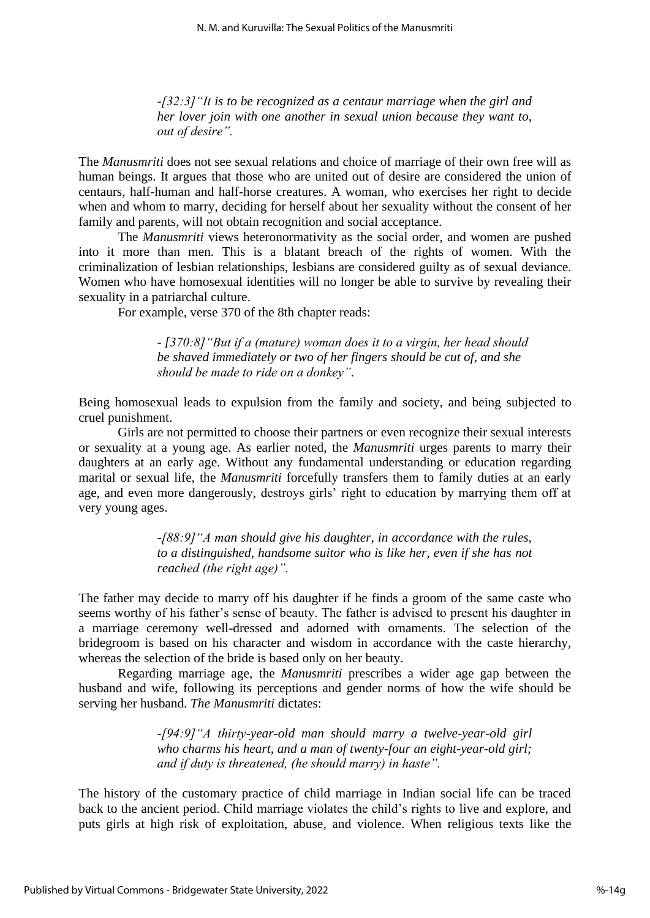*-[32:3]"It is to be recognized as a centaur marriage when the girl and her lover join with one another in sexual union because they want to, out of desire".*

The *Manusmriti* does not see sexual relations and choice of marriage of their own free will as human beings. It argues that those who are united out of desire are considered the union of centaurs, half-human and half-horse creatures. A woman, who exercises her right to decide when and whom to marry, deciding for herself about her sexuality without the consent of her family and parents, will not obtain recognition and social acceptance.

The *Manusmriti* views heteronormativity as the social order, and women are pushed into it more than men. This is a blatant breach of the rights of women. With the criminalization of lesbian relationships, lesbians are considered guilty as of sexual deviance. Women who have homosexual identities will no longer be able to survive by revealing their sexuality in a patriarchal culture.

For example, verse 370 of the 8th chapter reads:

*- [370:8]"But if a (mature) woman does it to a virgin, her head should be shaved immediately or two of her fingers should be cut of, and she should be made to ride on a donkey".*

Being homosexual leads to expulsion from the family and society, and being subjected to cruel punishment.

Girls are not permitted to choose their partners or even recognize their sexual interests or sexuality at a young age. As earlier noted, the *Manusmriti* urges parents to marry their daughters at an early age. Without any fundamental understanding or education regarding marital or sexual life, the *Manusmriti* forcefully transfers them to family duties at an early age, and even more dangerously, destroys girls' right to education by marrying them off at very young ages.

> *-[88:9]"A man should give his daughter, in accordance with the rules, to a distinguished, handsome suitor who is like her, even if she has not reached (the right age)".*

The father may decide to marry off his daughter if he finds a groom of the same caste who seems worthy of his father's sense of beauty. The father is advised to present his daughter in a marriage ceremony well-dressed and adorned with ornaments. The selection of the bridegroom is based on his character and wisdom in accordance with the caste hierarchy, whereas the selection of the bride is based only on her beauty.

Regarding marriage age, the *Manusmriti* prescribes a wider age gap between the husband and wife, following its perceptions and gender norms of how the wife should be serving her husband. *The Manusmriti* dictates:

> *-[94:9]"A thirty-year-old man should marry a twelve-year-old girl who charms his heart, and a man of twenty-four an eight-year-old girl; and if duty is threatened, (he should marry) in haste".*

The history of the customary practice of child marriage in Indian social life can be traced back to the ancient period. Child marriage violates the child's rights to live and explore, and puts girls at high risk of exploitation, abuse, and violence. When religious texts like the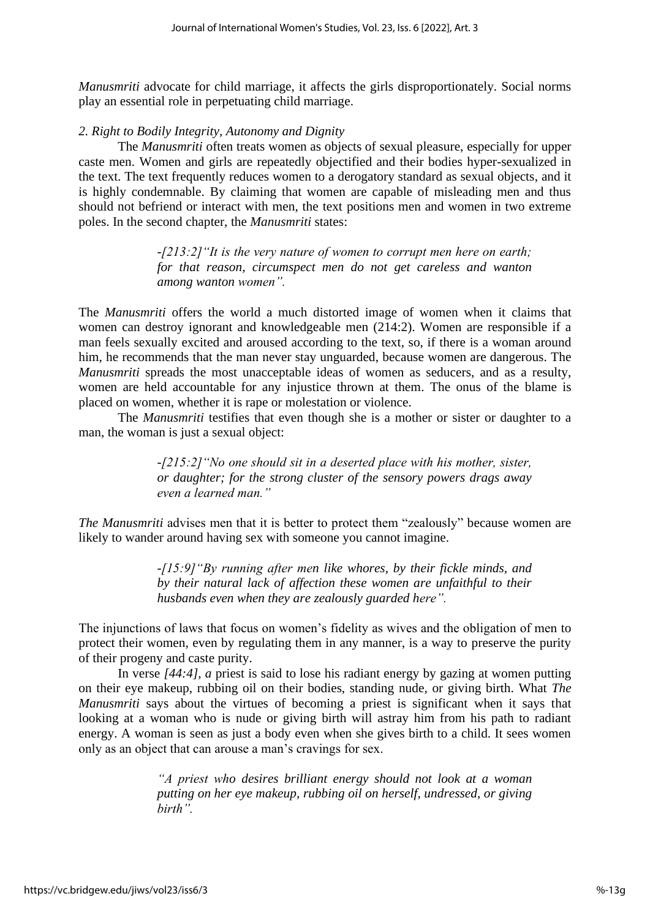*Manusmriti* advocate for child marriage, it affects the girls disproportionately. Social norms play an essential role in perpetuating child marriage.

## *2. Right to Bodily Integrity, Autonomy and Dignity*

The *Manusmriti* often treats women as objects of sexual pleasure, especially for upper caste men. Women and girls are repeatedly objectified and their bodies hyper-sexualized in the text. The text frequently reduces women to a derogatory standard as sexual objects, and it is highly condemnable. By claiming that women are capable of misleading men and thus should not befriend or interact with men, the text positions men and women in two extreme poles. In the second chapter, the *Manusmriti* states:

> *-[213:2]"It is the very nature of women to corrupt men here on earth; for that reason, circumspect men do not get careless and wanton among wanton women".*

The *Manusmriti* offers the world a much distorted image of women when it claims that women can destroy ignorant and knowledgeable men (214:2). Women are responsible if a man feels sexually excited and aroused according to the text, so, if there is a woman around him, he recommends that the man never stay unguarded, because women are dangerous. The *Manusmriti* spreads the most unacceptable ideas of women as seducers, and as a resulty, women are held accountable for any injustice thrown at them. The onus of the blame is placed on women, whether it is rape or molestation or violence.

The *Manusmriti* testifies that even though she is a mother or sister or daughter to a man, the woman is just a sexual object:

> *-[215:2]"No one should sit in a deserted place with his mother, sister, or daughter; for the strong cluster of the sensory powers drags away even a learned man."*

*The Manusmriti* advises men that it is better to protect them "zealously" because women are likely to wander around having sex with someone you cannot imagine.

> *-[15:9]"By running after men like whores, by their fickle minds, and by their natural lack of affection these women are unfaithful to their husbands even when they are zealously guarded here".*

The injunctions of laws that focus on women's fidelity as wives and the obligation of men to protect their women, even by regulating them in any manner, is a way to preserve the purity of their progeny and caste purity.

In verse *[44:4], a* priest is said to lose his radiant energy by gazing at women putting on their eye makeup, rubbing oil on their bodies, standing nude, or giving birth. What *The Manusmriti* says about the virtues of becoming a priest is significant when it says that looking at a woman who is nude or giving birth will astray him from his path to radiant energy. A woman is seen as just a body even when she gives birth to a child. It sees women only as an object that can arouse a man's cravings for sex.

> *"A priest who desires brilliant energy should not look at a woman putting on her eye makeup, rubbing oil on herself, undressed, or giving birth".*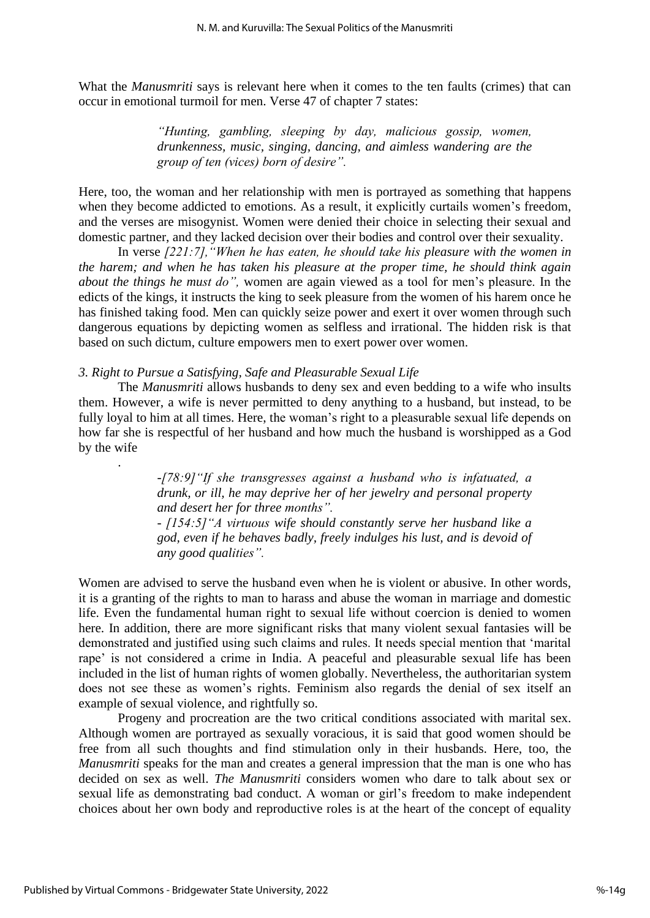What the *Manusmriti* says is relevant here when it comes to the ten faults (crimes) that can occur in emotional turmoil for men. Verse 47 of chapter 7 states:

> *"Hunting, gambling, sleeping by day, malicious gossip, women, drunkenness, music, singing, dancing, and aimless wandering are the group of ten (vices) born of desire".*

Here, too, the woman and her relationship with men is portrayed as something that happens when they become addicted to emotions. As a result, it explicitly curtails women's freedom, and the verses are misogynist. Women were denied their choice in selecting their sexual and domestic partner, and they lacked decision over their bodies and control over their sexuality.

In verse *[221:7],"When he has eaten, he should take his pleasure with the women in the harem; and when he has taken his pleasure at the proper time, he should think again about the things he must do",* women are again viewed as a tool for men's pleasure. In the edicts of the kings, it instructs the king to seek pleasure from the women of his harem once he has finished taking food. Men can quickly seize power and exert it over women through such dangerous equations by depicting women as selfless and irrational. The hidden risk is that based on such dictum, culture empowers men to exert power over women.

### *3. Right to Pursue a Satisfying, Safe and Pleasurable Sexual Life*

The *Manusmriti* allows husbands to deny sex and even bedding to a wife who insults them. However, a wife is never permitted to deny anything to a husband, but instead, to be fully loyal to him at all times. Here, the woman's right to a pleasurable sexual life depends on how far she is respectful of her husband and how much the husband is worshipped as a God by the wife

> *-[78:9]"If she transgresses against a husband who is infatuated, a drunk, or ill, he may deprive her of her jewelry and personal property and desert her for three months".*

> *- [154:5]"A virtuous wife should constantly serve her husband like a god, even if he behaves badly, freely indulges his lust, and is devoid of any good qualities".*

Women are advised to serve the husband even when he is violent or abusive. In other words, it is a granting of the rights to man to harass and abuse the woman in marriage and domestic life. Even the fundamental human right to sexual life without coercion is denied to women here. In addition, there are more significant risks that many violent sexual fantasies will be demonstrated and justified using such claims and rules. It needs special mention that 'marital rape' is not considered a crime in India. A peaceful and pleasurable sexual life has been included in the list of human rights of women globally. Nevertheless, the authoritarian system does not see these as women's rights. Feminism also regards the denial of sex itself an example of sexual violence, and rightfully so.

Progeny and procreation are the two critical conditions associated with marital sex. Although women are portrayed as sexually voracious, it is said that good women should be free from all such thoughts and find stimulation only in their husbands. Here, too, the *Manusmriti* speaks for the man and creates a general impression that the man is one who has decided on sex as well. *The Manusmriti* considers women who dare to talk about sex or sexual life as demonstrating bad conduct. A woman or girl's freedom to make independent choices about her own body and reproductive roles is at the heart of the concept of equality

.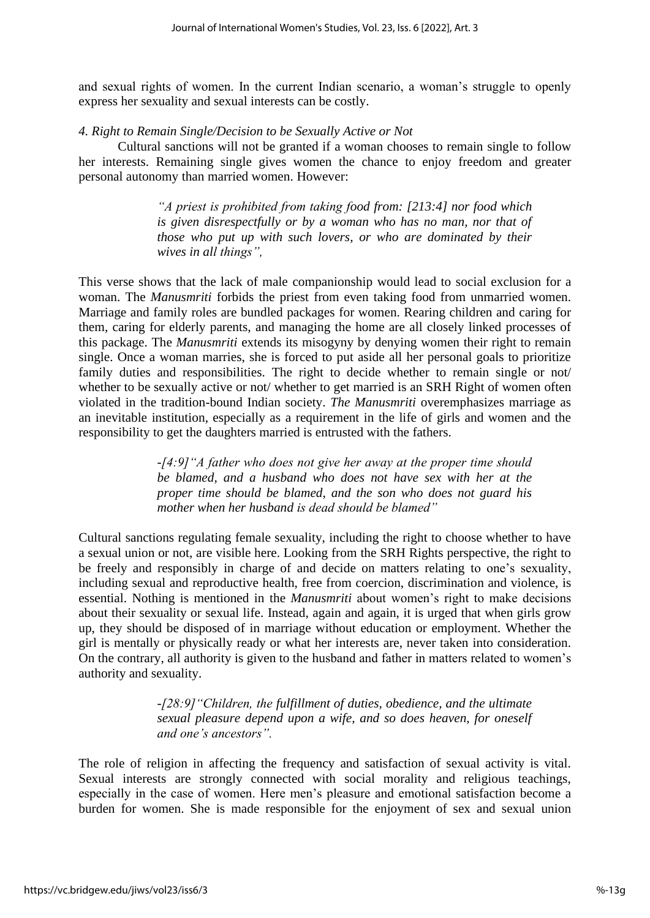and sexual rights of women. In the current Indian scenario, a woman's struggle to openly express her sexuality and sexual interests can be costly.

## *4. Right to Remain Single/Decision to be Sexually Active or Not*

Cultural sanctions will not be granted if a woman chooses to remain single to follow her interests. Remaining single gives women the chance to enjoy freedom and greater personal autonomy than married women. However:

> *"A priest is prohibited from taking food from: [213:4] nor food which is given disrespectfully or by a woman who has no man, nor that of those who put up with such lovers, or who are dominated by their wives in all things",*

This verse shows that the lack of male companionship would lead to social exclusion for a woman. The *Manusmriti* forbids the priest from even taking food from unmarried women. Marriage and family roles are bundled packages for women. Rearing children and caring for them, caring for elderly parents, and managing the home are all closely linked processes of this package. The *Manusmriti* extends its misogyny by denying women their right to remain single. Once a woman marries, she is forced to put aside all her personal goals to prioritize family duties and responsibilities. The right to decide whether to remain single or not/ whether to be sexually active or not/ whether to get married is an SRH Right of women often violated in the tradition-bound Indian society. *The Manusmriti* overemphasizes marriage as an inevitable institution, especially as a requirement in the life of girls and women and the responsibility to get the daughters married is entrusted with the fathers.

> *-[4:9]"A father who does not give her away at the proper time should be blamed, and a husband who does not have sex with her at the proper time should be blamed, and the son who does not guard his mother when her husband is dead should be blamed"*

Cultural sanctions regulating female sexuality, including the right to choose whether to have a sexual union or not, are visible here. Looking from the SRH Rights perspective, the right to be freely and responsibly in charge of and decide on matters relating to one's sexuality, including sexual and reproductive health, free from coercion, discrimination and violence, is essential. Nothing is mentioned in the *Manusmriti* about women's right to make decisions about their sexuality or sexual life. Instead, again and again, it is urged that when girls grow up, they should be disposed of in marriage without education or employment. Whether the girl is mentally or physically ready or what her interests are, never taken into consideration. On the contrary, all authority is given to the husband and father in matters related to women's authority and sexuality.

> *-[28:9]"Children, the fulfillment of duties, obedience, and the ultimate sexual pleasure depend upon a wife, and so does heaven, for oneself and one's ancestors".*

The role of religion in affecting the frequency and satisfaction of sexual activity is vital. Sexual interests are strongly connected with social morality and religious teachings, especially in the case of women. Here men's pleasure and emotional satisfaction become a burden for women. She is made responsible for the enjoyment of sex and sexual union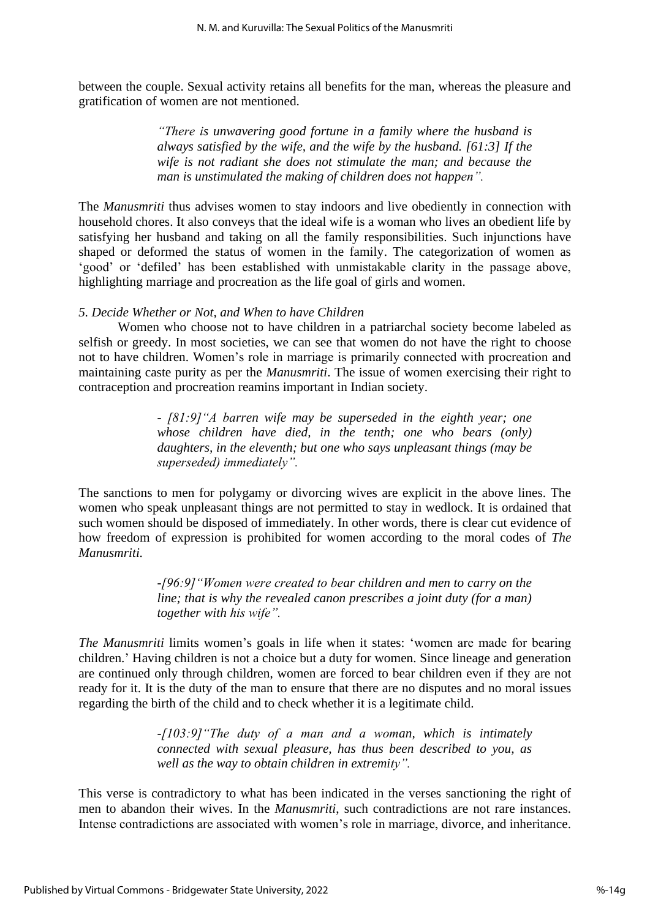between the couple. Sexual activity retains all benefits for the man, whereas the pleasure and gratification of women are not mentioned.

> *"There is unwavering good fortune in a family where the husband is always satisfied by the wife, and the wife by the husband. [61:3] If the wife is not radiant she does not stimulate the man; and because the man is unstimulated the making of children does not happen".*

The *Manusmriti* thus advises women to stay indoors and live obediently in connection with household chores. It also conveys that the ideal wife is a woman who lives an obedient life by satisfying her husband and taking on all the family responsibilities. Such injunctions have shaped or deformed the status of women in the family. The categorization of women as 'good' or 'defiled' has been established with unmistakable clarity in the passage above, highlighting marriage and procreation as the life goal of girls and women.

## *5. Decide Whether or Not, and When to have Children*

Women who choose not to have children in a patriarchal society become labeled as selfish or greedy. In most societies, we can see that women do not have the right to choose not to have children. Women's role in marriage is primarily connected with procreation and maintaining caste purity as per the *Manusmriti*. The issue of women exercising their right to contraception and procreation reamins important in Indian society.

> *- [81:9]"A barren wife may be superseded in the eighth year; one whose children have died, in the tenth; one who bears (only) daughters, in the eleventh; but one who says unpleasant things (may be superseded) immediately".*

The sanctions to men for polygamy or divorcing wives are explicit in the above lines. The women who speak unpleasant things are not permitted to stay in wedlock. It is ordained that such women should be disposed of immediately. In other words, there is clear cut evidence of how freedom of expression is prohibited for women according to the moral codes of *The Manusmriti.* 

> *-[96:9]"Women were created to bear children and men to carry on the line; that is why the revealed canon prescribes a joint duty (for a man) together with his wife".*

*The Manusmriti* limits women's goals in life when it states: 'women are made for bearing children.' Having children is not a choice but a duty for women. Since lineage and generation are continued only through children, women are forced to bear children even if they are not ready for it. It is the duty of the man to ensure that there are no disputes and no moral issues regarding the birth of the child and to check whether it is a legitimate child.

> *-[103:9]"The duty of a man and a woman, which is intimately connected with sexual pleasure, has thus been described to you, as well as the way to obtain children in extremity".*

This verse is contradictory to what has been indicated in the verses sanctioning the right of men to abandon their wives. In the *Manusmriti*, such contradictions are not rare instances. Intense contradictions are associated with women's role in marriage, divorce, and inheritance.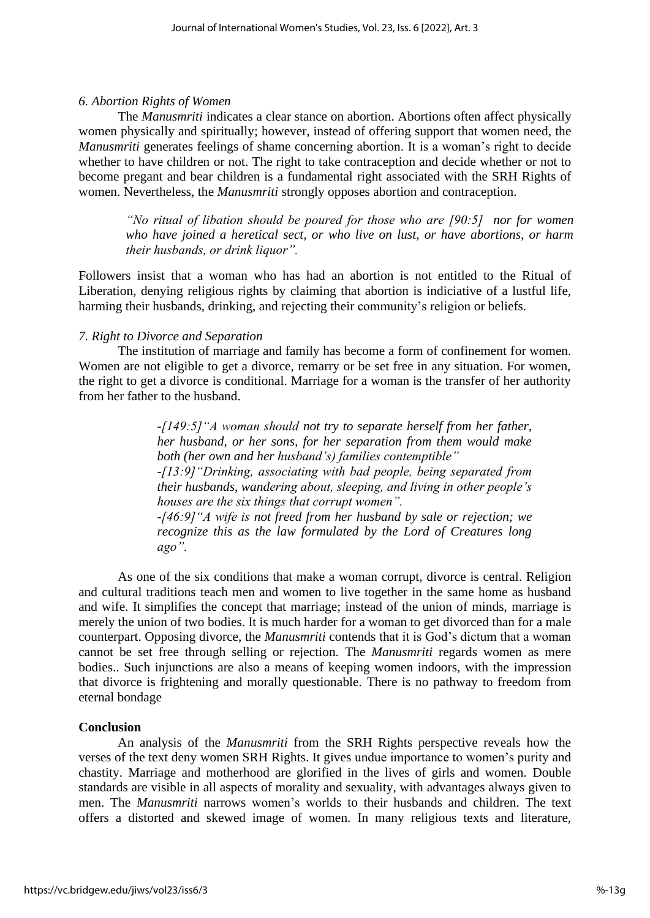## *6. Abortion Rights of Women*

The *Manusmriti* indicates a clear stance on abortion. Abortions often affect physically women physically and spiritually; however, instead of offering support that women need, the *Manusmriti* generates feelings of shame concerning abortion. It is a woman's right to decide whether to have children or not. The right to take contraception and decide whether or not to become pregant and bear children is a fundamental right associated with the SRH Rights of women. Nevertheless, the *Manusmriti* strongly opposes abortion and contraception.

*"No ritual of libation should be poured for those who are [90:5] nor for women who have joined a heretical sect, or who live on lust, or have abortions, or harm their husbands, or drink liquor".*

Followers insist that a woman who has had an abortion is not entitled to the Ritual of Liberation, denying religious rights by claiming that abortion is indiciative of a lustful life, harming their husbands, drinking, and rejecting their community's religion or beliefs.

## *7. Right to Divorce and Separation*

The institution of marriage and family has become a form of confinement for women. Women are not eligible to get a divorce, remarry or be set free in any situation. For women, the right to get a divorce is conditional. Marriage for a woman is the transfer of her authority from her father to the husband.

> *-[149:5]"A woman should not try to separate herself from her father, her husband, or her sons, for her separation from them would make both (her own and her husband's) families contemptible" -[13:9]"Drinking, associating with bad people, being separated from their husbands, wandering about, sleeping, and living in other people's houses are the six things that corrupt women". -[46:9]"A wife is not freed from her husband by sale or rejection; we recognize this as the law formulated by the Lord of Creatures long ago".*

As one of the six conditions that make a woman corrupt, divorce is central. Religion and cultural traditions teach men and women to live together in the same home as husband and wife. It simplifies the concept that marriage; instead of the union of minds, marriage is merely the union of two bodies. It is much harder for a woman to get divorced than for a male counterpart. Opposing divorce, the *Manusmriti* contends that it is God's dictum that a woman cannot be set free through selling or rejection. The *Manusmriti* regards women as mere bodies.. Such injunctions are also a means of keeping women indoors, with the impression that divorce is frightening and morally questionable. There is no pathway to freedom from eternal bondage

## **Conclusion**

An analysis of the *Manusmriti* from the SRH Rights perspective reveals how the verses of the text deny women SRH Rights. It gives undue importance to women's purity and chastity. Marriage and motherhood are glorified in the lives of girls and women. Double standards are visible in all aspects of morality and sexuality, with advantages always given to men. The *Manusmriti* narrows women's worlds to their husbands and children. The text offers a distorted and skewed image of women. In many religious texts and literature,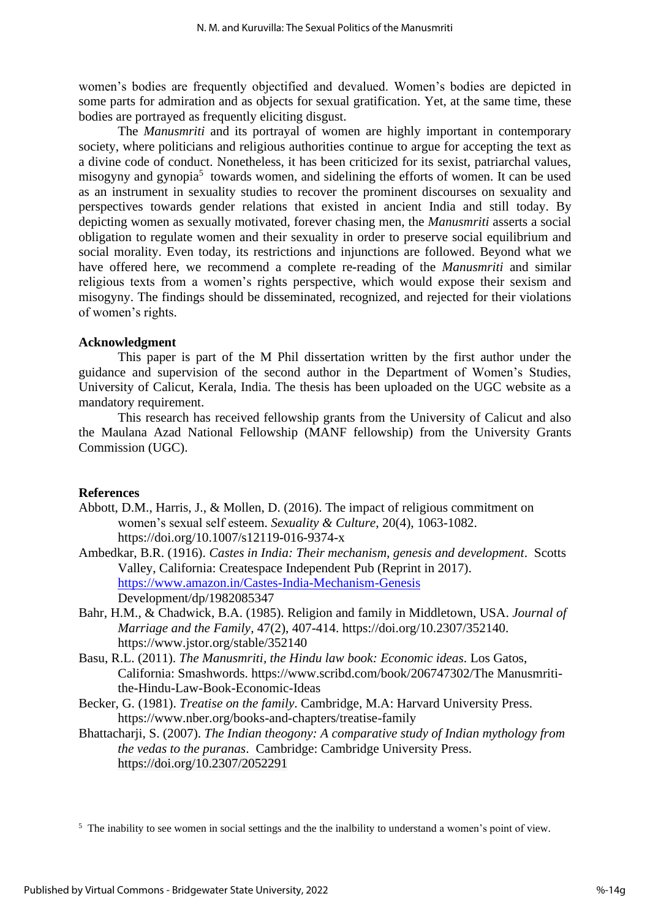women's bodies are frequently objectified and devalued. Women's bodies are depicted in some parts for admiration and as objects for sexual gratification. Yet, at the same time, these bodies are portrayed as frequently eliciting disgust.

The *Manusmriti* and its portrayal of women are highly important in contemporary society, where politicians and religious authorities continue to argue for accepting the text as a divine code of conduct. Nonetheless, it has been criticized for its sexist, patriarchal values, misogyny and gynopia<sup>5</sup> towards women, and sidelining the efforts of women. It can be used as an instrument in sexuality studies to recover the prominent discourses on sexuality and perspectives towards gender relations that existed in ancient India and still today. By depicting women as sexually motivated, forever chasing men, the *Manusmriti* asserts a social obligation to regulate women and their sexuality in order to preserve social equilibrium and social morality. Even today, its restrictions and injunctions are followed. Beyond what we have offered here, we recommend a complete re-reading of the *Manusmriti* and similar religious texts from a women's rights perspective, which would expose their sexism and misogyny. The findings should be disseminated, recognized, and rejected for their violations of women's rights.

## **Acknowledgment**

This paper is part of the M Phil dissertation written by the first author under the guidance and supervision of the second author in the Department of Women's Studies, University of Calicut, Kerala, India. The thesis has been uploaded on the UGC website as a mandatory requirement.

This research has received fellowship grants from the University of Calicut and also the Maulana Azad National Fellowship (MANF fellowship) from the University Grants Commission (UGC).

## **References**

- Abbott, D.M., Harris, J., & Mollen, D. (2016). The impact of religious commitment on women's sexual self esteem. *Sexuality & Culture,* 20(4), 1063-1082. https://doi.org/10.1007/s12119-016-9374-x
- Ambedkar, B.R. (1916). *Castes in India: Their mechanism, genesis and development*. Scotts Valley, California: Createspace Independent Pub (Reprint in 2017). <https://www.amazon.in/Castes-India-Mechanism-Genesis> Development/dp/1982085347
- Bahr, H.M., & Chadwick, B.A. (1985). Religion and family in Middletown, USA. *Journal of Marriage and the Family*, 47(2), 407-414. [https://doi.org/10.2307/352140.](https://doi.org/10.2307/352140) https://www.jstor.org/stable/352140
- Basu, R.L. (2011). *The Manusmriti, the Hindu law book: Economic ideas*. Los Gatos, California: Smashwords. https://www.scribd.com/book/206747302/The Manusmritithe-Hindu-Law-Book-Economic-Ideas
- Becker, G. (1981). *Treatise on the family*. Cambridge, M.A: Harvard University Press. https://www.nber.org/books-and-chapters/treatise-family
- Bhattacharji, S. (2007). *The Indian theogony: A comparative study of Indian mythology from the vedas to the puranas*. Cambridge: Cambridge University Press. <https://doi.org/10.2307/2052291>

<sup>5</sup> The inability to see women in social settings and the the inalbility to understand a women's point of view.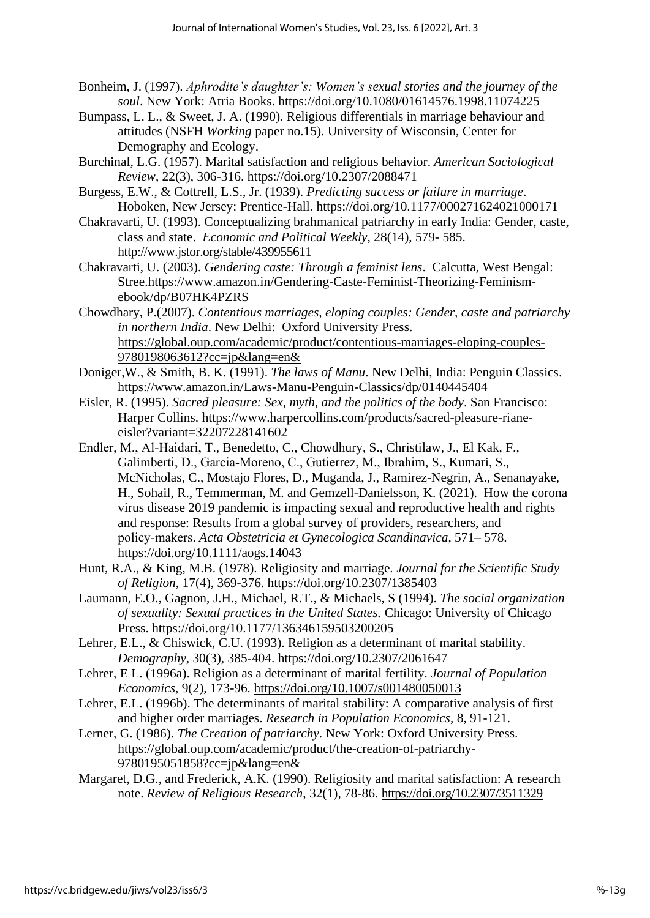- Bonheim, J. (1997). *Aphrodite's daughter's: Women's sexual stories and the journey of the soul*. New York: Atria Books. <https://doi.org/10.1080/01614576.1998.11074225>
- Bumpass, L. L., & Sweet, J. A. (1990). Religious differentials in marriage behaviour and attitudes (NSFH *Working* paper no.15). University of Wisconsin, Center for Demography and Ecology.
- Burchinal, L.G. (1957). Marital satisfaction and religious behavior. *American Sociological Review*, 22(3), 306-316.<https://doi.org/10.2307/2088471>
- Burgess, E.W., & Cottrell, L.S., Jr. (1939). *Predicting success or failure in marriage*. Hoboken, New Jersey: Prentice-Hall.<https://doi.org/10.1177/000271624021000171>
- Chakravarti, U. (1993). Conceptualizing brahmanical patriarchy in early India: Gender, caste, class and state. *Economic and Political Weekly*, 28(14), 579- 585. http://www.jstor.org/stable/439955611
- Chakravarti, U. (2003). *Gendering caste: Through a feminist lens*. Calcutta, West Bengal: Stree.https://www.amazon.in/Gendering-Caste-Feminist-Theorizing-Feminismebook/dp/B07HK4PZRS
- Chowdhary, P.(2007). *Contentious marriages, eloping couples: Gender, caste and patriarchy in northern India*. New Delhi: Oxford University Press. https://global.oup.com/academic/product/contentious-marriages-eloping-couples-9780198063612?cc=jp&lang=en&
- Doniger,W., & Smith, B. K. (1991). *The laws of Manu*. New Delhi, India: Penguin Classics. https://www.amazon.in/Laws-Manu-Penguin-Classics/dp/0140445404
- Eisler, R. (1995). *Sacred pleasure: Sex, myth, and the politics of the body*. San Francisco: Harper Collins. https://www.harpercollins.com/products/sacred-pleasure-rianeeisler?variant=32207228141602
- Endler, M., Al‐Haidari, T., Benedetto, C., Chowdhury, S., Christilaw, J., El Kak, F., Galimberti, D., Garcia‐Moreno, C., Gutierrez, M., Ibrahim, S., Kumari, S., McNicholas, C., Mostajo Flores, D., Muganda, J., Ramirez-Negrin, A., Senanayake, H., Sohail, R., Temmerman, M. and Gemzell‐Danielsson, K. (2021). How the corona virus disease 2019 pandemic is impacting sexual and reproductive health and rights and response: Results from a global survey of providers, researchers, and policy‐makers. *Acta Obstetricia et Gynecologica Scandinavica*, 571– 578. <https://doi.org/10.1111/aogs.14043>
- Hunt, R.A., & King, M.B. (1978). Religiosity and marriage. *Journal for the Scientific Study of Religion*, 17(4), 369-376.<https://doi.org/10.2307/1385403>
- Laumann, E.O., Gagnon, J.H., Michael, R.T., & Michaels, S (1994). *The social organization of sexuality: Sexual practices in the United States.* Chicago: University of Chicago Press. <https://doi.org/10.1177/136346159503200205>
- Lehrer, E.L., & Chiswick, C.U. (1993). Religion as a determinant of marital stability. *Demography*, 30(3), 385-404.<https://doi.org/10.2307/2061647>
- Lehrer, E L. (1996a). Religion as a determinant of marital fertility. *Journal of Population Economics*, 9(2), 173-96. <https://doi.org/10.1007/s001480050013>
- Lehrer, E.L. (1996b). The determinants of marital stability: A comparative analysis of first and higher order marriages. *Research in Population Economics*, 8, 91-121.
- Lerner, G. (1986). *The Creation of patriarchy*. New York: Oxford University Press. https://global.oup.com/academic/product/the-creation-of-patriarchy-9780195051858?cc=jp&lang=en&
- Margaret, D.G., and Frederick, A.K. (1990). Religiosity and marital satisfaction: A research note. *Review of Religious Research*, 32(1), 78-86. https://doi.org/10.2307/3511329